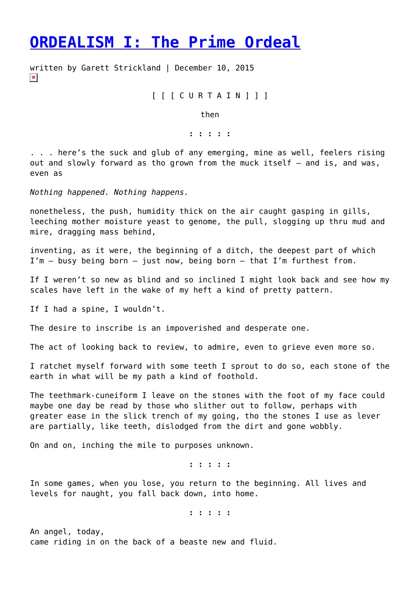## **[ORDEALISM I: The Prime Ordeal](https://entropymag.org/ordealism-i-the-prime-ordeal/)**

written by Garett Strickland | December 10, 2015  $\pmb{\times}$ 

[ [ [ C U R T A I N ] ] ]

then

**: : : : :**

. . . here's the suck and glub of any emerging, mine as well, feelers rising out and slowly forward as tho grown from the muck itself – and is, and was, even as

*Nothing happened. Nothing happens.*

nonetheless, the push, humidity thick on the air caught gasping in gills, leeching mother moisture yeast to genome, the pull, slogging up thru mud and mire, dragging mass behind,

inventing, as it were, the beginning of a ditch, the deepest part of which  $I'm - busy being born - just now, being born - that I'm furthest from.$ 

If I weren't so new as blind and so inclined I might look back and see how my scales have left in the wake of my heft a kind of pretty pattern.

If I had a spine, I wouldn't.

The desire to inscribe is an impoverished and desperate one.

The act of looking back to review, to admire, even to grieve even more so.

I ratchet myself forward with some teeth I sprout to do so, each stone of the earth in what will be my path a kind of foothold.

The teethmark-cuneiform I leave on the stones with the foot of my face could maybe one day be read by those who slither out to follow, perhaps with greater ease in the slick trench of my going, tho the stones I use as lever are partially, like teeth, dislodged from the dirt and gone wobbly.

On and on, inching the mile to purposes unknown.

**: : : : :**

In some games, when you lose, you return to the beginning. All lives and levels for naught, you fall back down, into home.

**: : : : :**

An angel, today, came riding in on the back of a beaste new and fluid.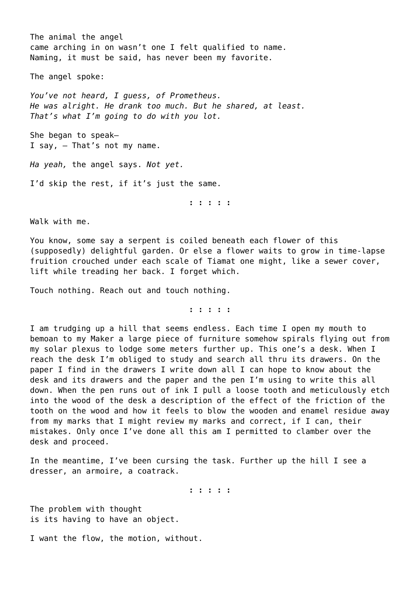The animal the angel came arching in on wasn't one I felt qualified to name. Naming, it must be said, has never been my favorite.

The angel spoke:

*You've not heard, I guess, of Prometheus. He was alright. He drank too much. But he shared, at least. That's what I'm going to do with you lot.*

She began to speak— I say, – That's not my name.

*Ha yeah,* the angel says. *Not yet.*

I'd skip the rest, if it's just the same.

**: : : : :**

Walk with me.

You know, some say a serpent is coiled beneath each flower of this (supposedly) delightful garden. Or else a flower waits to grow in time-lapse fruition crouched under each scale of Tiamat one might, like a sewer cover, lift while treading her back. I forget which.

Touch nothing. Reach out and touch nothing.

**: : : : :**

I am trudging up a hill that seems endless. Each time I open my mouth to bemoan to my Maker a large piece of furniture somehow spirals flying out from my solar plexus to lodge some meters further up. This one's a desk. When I reach the desk I'm obliged to study and search all thru its drawers. On the paper I find in the drawers I write down all I can hope to know about the desk and its drawers and the paper and the pen I'm using to write this all down. When the pen runs out of ink I pull a loose tooth and meticulously etch into the wood of the desk a description of the effect of the friction of the tooth on the wood and how it feels to blow the wooden and enamel residue away from my marks that I might review my marks and correct, if I can, their mistakes. Only once I've done all this am I permitted to clamber over the desk and proceed.

In the meantime, I've been cursing the task. Further up the hill I see a dresser, an armoire, a coatrack.

**: : : : :**

The problem with thought is its having to have an object.

I want the flow, the motion, without.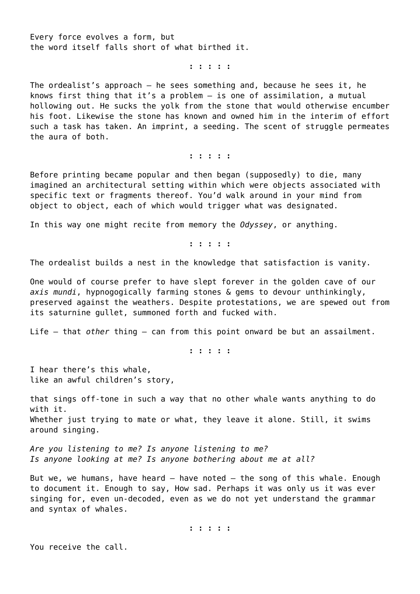Every force evolves a form, but the word itself falls short of what birthed it.

**: : : : :**

The ordealist's approach – he sees something and, because he sees it, he knows first thing that it's a problem – is one of assimilation, a mutual hollowing out. He sucks the yolk from the stone that would otherwise encumber his foot. Likewise the stone has known and owned him in the interim of effort such a task has taken. An imprint, a seeding. The scent of struggle permeates the aura of both.

**: : : : :**

Before printing became popular and then began (supposedly) to die, many imagined an architectural setting within which were objects associated with specific text or fragments thereof. You'd walk around in your mind from object to object, each of which would trigger what was designated.

In this way one might recite from memory the *Odyssey*, or anything.

**: : : : :**

The ordealist builds a nest in the knowledge that satisfaction is vanity.

One would of course prefer to have slept forever in the golden cave of our *axis mundi*, hypnogogically farming stones & gems to devour unthinkingly, preserved against the weathers. Despite protestations, we are spewed out from its saturnine gullet, summoned forth and fucked with.

Life – that *other* thing – can from this point onward be but an assailment.

**: : : : :**

I hear there's this whale, like an awful children's story,

that sings off-tone in such a way that no other whale wants anything to do with it. Whether just trying to mate or what, they leave it alone. Still, it swims around singing.

*Are you listening to me? Is anyone listening to me? Is anyone looking at me? Is anyone bothering about me at all?*

But we, we humans, have heard  $-$  have noted  $-$  the song of this whale. Enough to document it. Enough to say, How sad. Perhaps it was only us it was ever singing for, even un-decoded, even as we do not yet understand the grammar and syntax of whales.

**: : : : :**

You receive the call.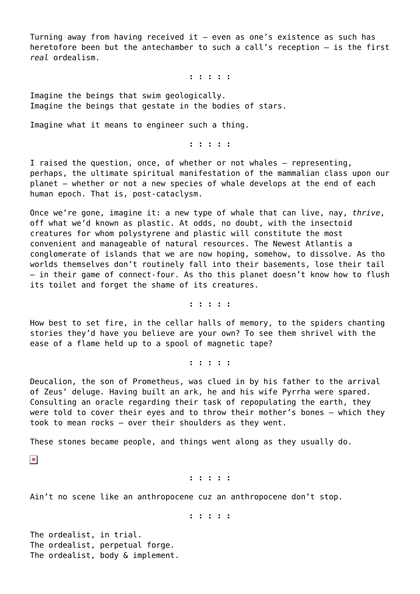Turning away from having received it – even as one's existence as such has heretofore been but the antechamber to such a call's reception – is the first *real* ordealism.

**: : : : :**

Imagine the beings that swim geologically. Imagine the beings that gestate in the bodies of stars.

Imagine what it means to engineer such a thing.

**: : : : :**

I raised the question, once, of whether or not whales – representing, perhaps, the ultimate spiritual manifestation of the mammalian class upon our planet – whether or not a new species of whale develops at the end of each human epoch. That is, post-cataclysm.

Once we're gone, imagine it: a new type of whale that can live, nay, *thrive*, off what we'd known as plastic. At odds, no doubt, with the insectoid creatures for whom polystyrene and plastic will constitute the most convenient and manageable of natural resources. The Newest Atlantis a conglomerate of islands that we are now hoping, somehow, to dissolve. As tho worlds themselves don't routinely fall into their basements, lose their tail – in their game of connect-four. As tho this planet doesn't know how to flush its toilet and forget the shame of its creatures.

**: : : : :**

How best to set fire, in the cellar halls of memory, to the spiders chanting stories they'd have you believe are your own? To see them shrivel with the ease of a flame held up to a spool of magnetic tape?

**: : : : :**

Deucalion, the son of Prometheus, was clued in by his father to the arrival of Zeus' deluge. Having built an ark, he and his wife Pyrrha were spared. Consulting an oracle regarding their task of repopulating the earth, they were told to cover their eyes and to throw their mother's bones – which they took to mean rocks – over their shoulders as they went.

These stones became people, and things went along as they usually do.

 $\pmb{\times}$ 

**: : : : :**

Ain't no scene like an anthropocene cuz an anthropocene don't stop.

**: : : : :**

The ordealist, in trial. The ordealist, perpetual forge. The ordealist, body & implement.